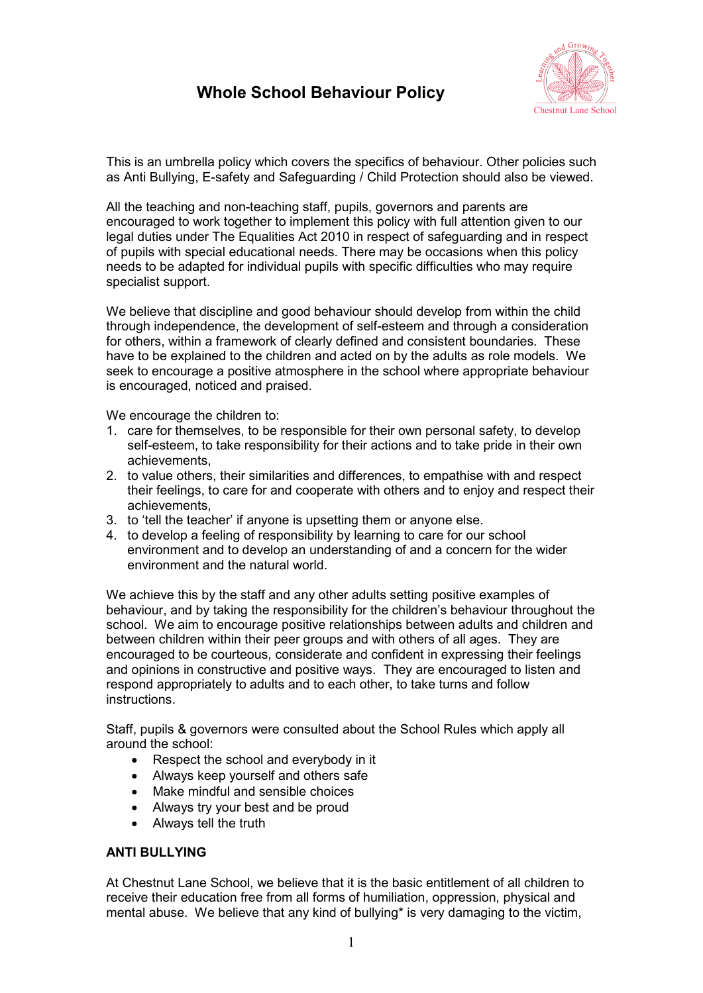

This is an umbrella policy which covers the specifics of behaviour. Other policies such as Anti Bullying, E-safety and Safeguarding / Child Protection should also be viewed.

All the teaching and non-teaching staff, pupils, governors and parents are encouraged to work together to implement this policy with full attention given to our legal duties under The Equalities Act 2010 in respect of safeguarding and in respect of pupils with special educational needs. There may be occasions when this policy needs to be adapted for individual pupils with specific difficulties who may require specialist support.

We believe that discipline and good behaviour should develop from within the child through independence, the development of self-esteem and through a consideration for others, within a framework of clearly defined and consistent boundaries. These have to be explained to the children and acted on by the adults as role models. We seek to encourage a positive atmosphere in the school where appropriate behaviour is encouraged, noticed and praised.

We encourage the children to:

- 1. care for themselves, to be responsible for their own personal safety, to develop self-esteem, to take responsibility for their actions and to take pride in their own achievements,
- 2. to value others, their similarities and differences, to empathise with and respect their feelings, to care for and cooperate with others and to enjoy and respect their achievements,
- 3. to 'tell the teacher' if anyone is upsetting them or anyone else.
- 4. to develop a feeling of responsibility by learning to care for our school environment and to develop an understanding of and a concern for the wider environment and the natural world.

We achieve this by the staff and any other adults setting positive examples of behaviour, and by taking the responsibility for the children's behaviour throughout the school. We aim to encourage positive relationships between adults and children and between children within their peer groups and with others of all ages. They are encouraged to be courteous, considerate and confident in expressing their feelings and opinions in constructive and positive ways. They are encouraged to listen and respond appropriately to adults and to each other, to take turns and follow instructions.

Staff, pupils & governors were consulted about the School Rules which apply all around the school:

- Respect the school and everybody in it
- Always keep yourself and others safe
- Make mindful and sensible choices
- Always try your best and be proud
- Always tell the truth

## **ANTI BULLYING**

At Chestnut Lane School, we believe that it is the basic entitlement of all children to receive their education free from all forms of humiliation, oppression, physical and mental abuse. We believe that any kind of bullying\* is very damaging to the victim,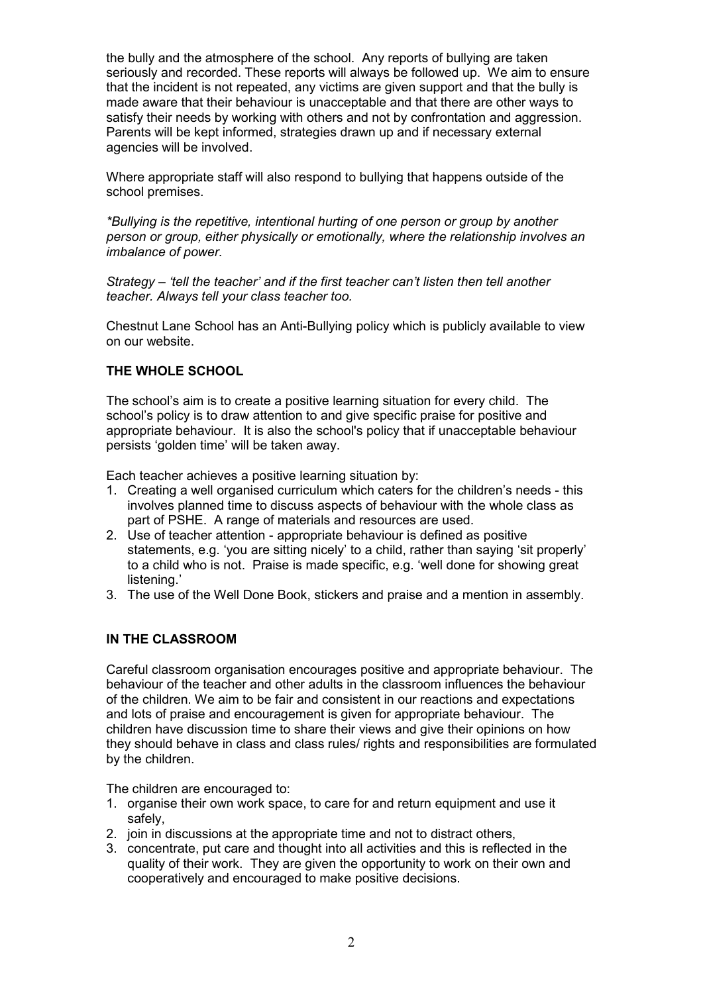the bully and the atmosphere of the school. Any reports of bullying are taken seriously and recorded. These reports will always be followed up. We aim to ensure that the incident is not repeated, any victims are given support and that the bully is made aware that their behaviour is unacceptable and that there are other ways to satisfy their needs by working with others and not by confrontation and aggression. Parents will be kept informed, strategies drawn up and if necessary external agencies will be involved.

Where appropriate staff will also respond to bullying that happens outside of the school premises.

*\*Bullying is the repetitive, intentional hurting of one person or group by another person or group, either physically or emotionally, where the relationship involves an imbalance of power.*

*Strategy – 'tell the teacher' and if the first teacher can't listen then tell another teacher. Always tell your class teacher too.*

Chestnut Lane School has an Anti-Bullying policy which is publicly available to view on our website.

# **THE WHOLE SCHOOL**

The school's aim is to create a positive learning situation for every child. The school's policy is to draw attention to and give specific praise for positive and appropriate behaviour. It is also the school's policy that if unacceptable behaviour persists 'golden time' will be taken away.

Each teacher achieves a positive learning situation by:

- 1. Creating a well organised curriculum which caters for the children's needs this involves planned time to discuss aspects of behaviour with the whole class as part of PSHE. A range of materials and resources are used.
- 2. Use of teacher attention appropriate behaviour is defined as positive statements, e.g. 'you are sitting nicely' to a child, rather than saying 'sit properly' to a child who is not. Praise is made specific, e.g. 'well done for showing great listening.'
- 3. The use of the Well Done Book, stickers and praise and a mention in assembly.

## **IN THE CLASSROOM**

Careful classroom organisation encourages positive and appropriate behaviour. The behaviour of the teacher and other adults in the classroom influences the behaviour of the children. We aim to be fair and consistent in our reactions and expectations and lots of praise and encouragement is given for appropriate behaviour. The children have discussion time to share their views and give their opinions on how they should behave in class and class rules/ rights and responsibilities are formulated by the children.

The children are encouraged to:

- 1. organise their own work space, to care for and return equipment and use it safely,
- 2. join in discussions at the appropriate time and not to distract others.
- 3. concentrate, put care and thought into all activities and this is reflected in the quality of their work. They are given the opportunity to work on their own and cooperatively and encouraged to make positive decisions.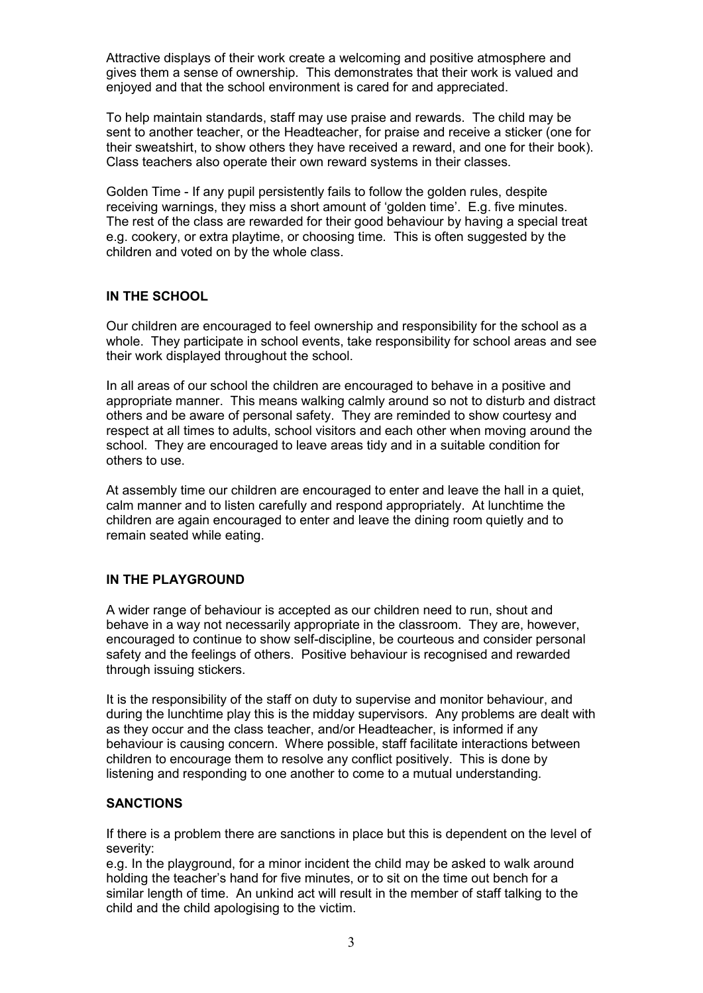Attractive displays of their work create a welcoming and positive atmosphere and gives them a sense of ownership. This demonstrates that their work is valued and enjoyed and that the school environment is cared for and appreciated.

To help maintain standards, staff may use praise and rewards. The child may be sent to another teacher, or the Headteacher, for praise and receive a sticker (one for their sweatshirt, to show others they have received a reward, and one for their book). Class teachers also operate their own reward systems in their classes.

Golden Time - If any pupil persistently fails to follow the golden rules, despite receiving warnings, they miss a short amount of 'golden time'. E.g. five minutes. The rest of the class are rewarded for their good behaviour by having a special treat e.g. cookery, or extra playtime, or choosing time. This is often suggested by the children and voted on by the whole class.

## **IN THE SCHOOL**

Our children are encouraged to feel ownership and responsibility for the school as a whole. They participate in school events, take responsibility for school areas and see their work displayed throughout the school.

In all areas of our school the children are encouraged to behave in a positive and appropriate manner. This means walking calmly around so not to disturb and distract others and be aware of personal safety. They are reminded to show courtesy and respect at all times to adults, school visitors and each other when moving around the school. They are encouraged to leave areas tidy and in a suitable condition for others to use.

At assembly time our children are encouraged to enter and leave the hall in a quiet, calm manner and to listen carefully and respond appropriately. At lunchtime the children are again encouraged to enter and leave the dining room quietly and to remain seated while eating.

# **IN THE PLAYGROUND**

A wider range of behaviour is accepted as our children need to run, shout and behave in a way not necessarily appropriate in the classroom. They are, however, encouraged to continue to show self-discipline, be courteous and consider personal safety and the feelings of others. Positive behaviour is recognised and rewarded through issuing stickers.

It is the responsibility of the staff on duty to supervise and monitor behaviour, and during the lunchtime play this is the midday supervisors. Any problems are dealt with as they occur and the class teacher, and/or Headteacher, is informed if any behaviour is causing concern. Where possible, staff facilitate interactions between children to encourage them to resolve any conflict positively. This is done by listening and responding to one another to come to a mutual understanding.

## **SANCTIONS**

If there is a problem there are sanctions in place but this is dependent on the level of severity:

e.g. In the playground, for a minor incident the child may be asked to walk around holding the teacher's hand for five minutes, or to sit on the time out bench for a similar length of time. An unkind act will result in the member of staff talking to the child and the child apologising to the victim.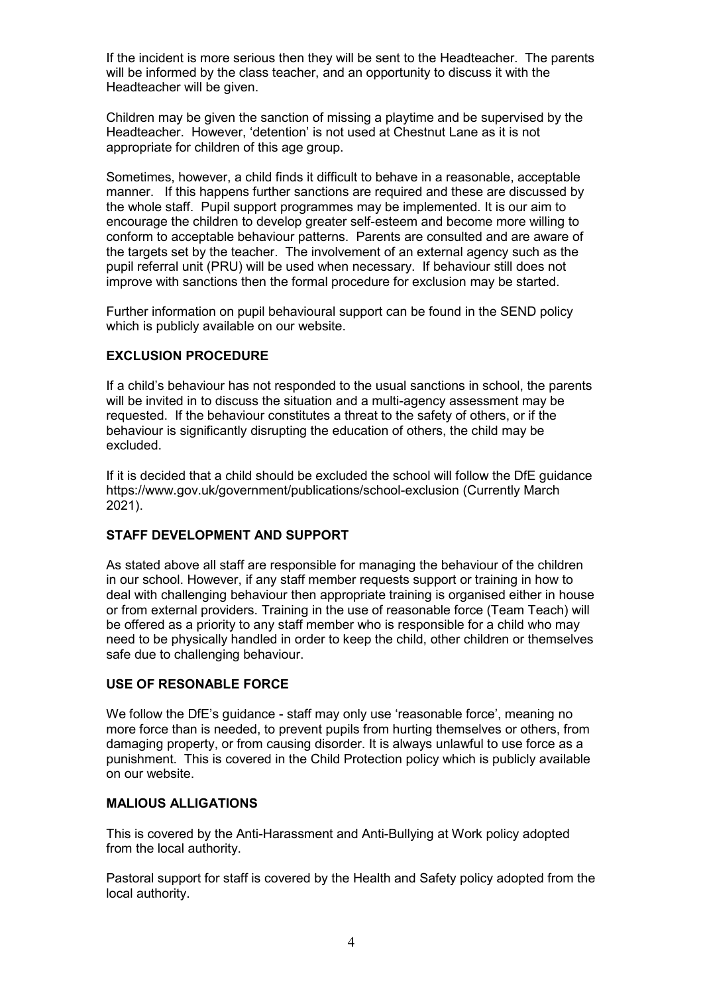If the incident is more serious then they will be sent to the Headteacher. The parents will be informed by the class teacher, and an opportunity to discuss it with the Headteacher will be given.

Children may be given the sanction of missing a playtime and be supervised by the Headteacher. However, 'detention' is not used at Chestnut Lane as it is not appropriate for children of this age group.

Sometimes, however, a child finds it difficult to behave in a reasonable, acceptable manner. If this happens further sanctions are required and these are discussed by the whole staff. Pupil support programmes may be implemented*.* It is our aim to encourage the children to develop greater self-esteem and become more willing to conform to acceptable behaviour patterns. Parents are consulted and are aware of the targets set by the teacher. The involvement of an external agency such as the pupil referral unit (PRU) will be used when necessary. If behaviour still does not improve with sanctions then the formal procedure for exclusion may be started.

Further information on pupil behavioural support can be found in the SEND policy which is publicly available on our website.

## **EXCLUSION PROCEDURE**

If a child's behaviour has not responded to the usual sanctions in school, the parents will be invited in to discuss the situation and a multi-agency assessment may be requested. If the behaviour constitutes a threat to the safety of others, or if the behaviour is significantly disrupting the education of others, the child may be excluded.

If it is decided that a child should be excluded the school will follow the DfE guidance https://www.gov.uk/government/publications/school-exclusion (Currently March 2021).

## **STAFF DEVELOPMENT AND SUPPORT**

As stated above all staff are responsible for managing the behaviour of the children in our school. However, if any staff member requests support or training in how to deal with challenging behaviour then appropriate training is organised either in house or from external providers. Training in the use of reasonable force (Team Teach) will be offered as a priority to any staff member who is responsible for a child who may need to be physically handled in order to keep the child, other children or themselves safe due to challenging behaviour.

## **USE OF RESONABLE FORCE**

We follow the DfE's quidance - staff may only use 'reasonable force', meaning no more force than is needed, to prevent pupils from hurting themselves or others, from damaging property, or from causing disorder. It is always unlawful to use force as a punishment. This is covered in the Child Protection policy which is publicly available on our website.

## **MALIOUS ALLIGATIONS**

This is covered by the Anti-Harassment and Anti-Bullying at Work policy adopted from the local authority.

Pastoral support for staff is covered by the Health and Safety policy adopted from the local authority.